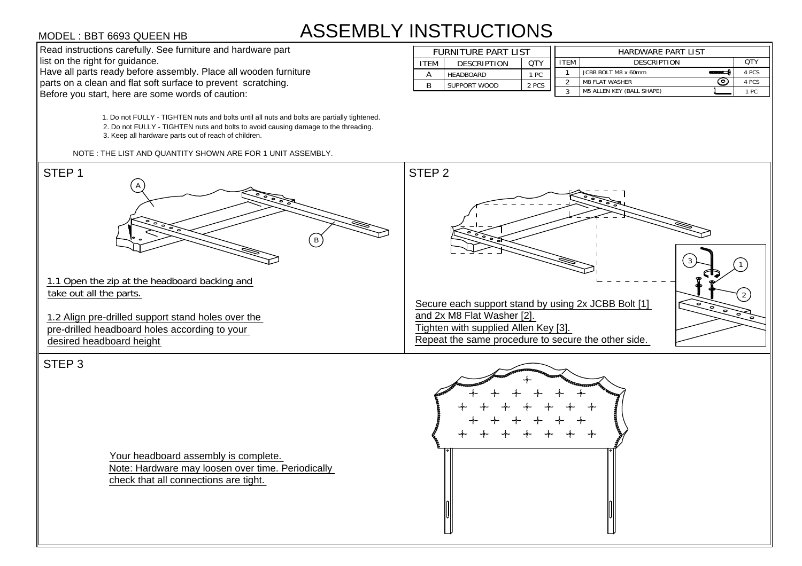## ASSEMBLY INSTRUCTIONS

2. Do not FULLY - TIGHTEN nuts and bolts to avoid causing damage to the threading.<br>3. Keep all hardware parts out of reach of children.<br>NOTE : THE LIST AND QUANTITY SHOWN ARE FOR 1 UNIT ASSEMBLY.<br>STEP 1

| <b>INSTRUCTIONS</b>        |                    |            |             |                              |       |  |  |  |  |  |
|----------------------------|--------------------|------------|-------------|------------------------------|-------|--|--|--|--|--|
| <b>FURNITURE PART LIST</b> |                    |            |             | <b>HARDWARE PART LIST</b>    |       |  |  |  |  |  |
| <b>ITEM</b>                | <b>DESCRIPTION</b> | <b>OTY</b> | <b>ITEM</b> | <b>DESCRIPTION</b>           | QTY   |  |  |  |  |  |
| A                          | <b>HEADBOARD</b>   | 1 PC       |             | JCBB BOLT M8 x 60mm          | 4 PCS |  |  |  |  |  |
| B                          | SUPPORT WOOD       | 2 PCS      | 2           | (ດ)<br><b>M8 FLAT WASHER</b> | 4 PCS |  |  |  |  |  |
|                            |                    |            | 2           | M5 ALLEN KEY (BALL SHAPE)    | 1 PC  |  |  |  |  |  |



Your headboard assembly is complete. Note: Hardware may loosen over time. Periodically